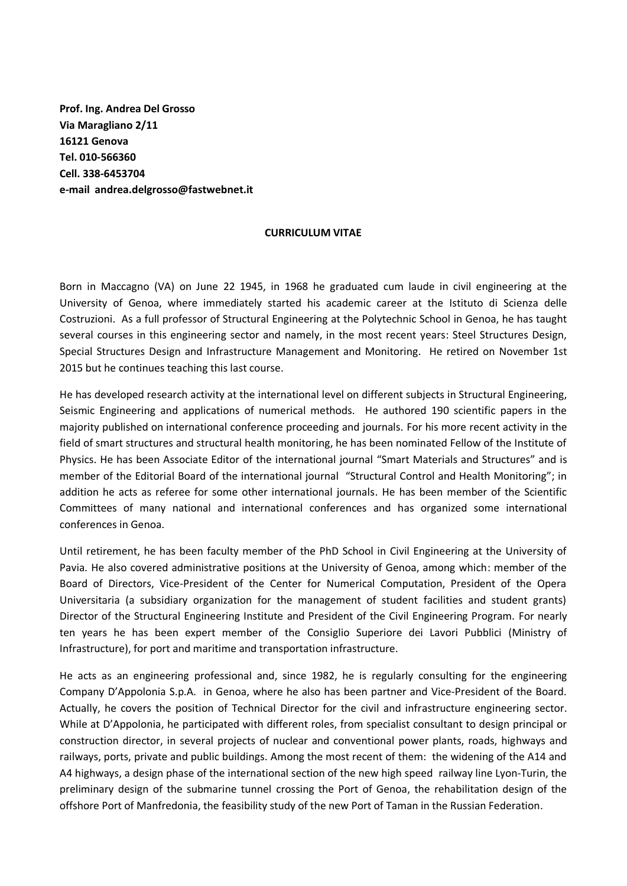**Prof. Ing. Andrea Del Grosso Via Maragliano 2/11 16121 Genova Tel. 010-566360 Cell. 338-6453704 e-mail andrea.delgrosso@fastwebnet.it**

## **CURRICULUM VITAE**

Born in Maccagno (VA) on June 22 1945, in 1968 he graduated cum laude in civil engineering at the University of Genoa, where immediately started his academic career at the Istituto di Scienza delle Costruzioni. As a full professor of Structural Engineering at the Polytechnic School in Genoa, he has taught several courses in this engineering sector and namely, in the most recent years: Steel Structures Design, Special Structures Design and Infrastructure Management and Monitoring. He retired on November 1st 2015 but he continues teaching this last course.

He has developed research activity at the international level on different subjects in Structural Engineering, Seismic Engineering and applications of numerical methods. He authored 190 scientific papers in the majority published on international conference proceeding and journals. For his more recent activity in the field of smart structures and structural health monitoring, he has been nominated Fellow of the Institute of Physics. He has been Associate Editor of the international journal "Smart Materials and Structures" and is member of the Editorial Board of the international journal "Structural Control and Health Monitoring"; in addition he acts as referee for some other international journals. He has been member of the Scientific Committees of many national and international conferences and has organized some international conferences in Genoa.

Until retirement, he has been faculty member of the PhD School in Civil Engineering at the University of Pavia. He also covered administrative positions at the University of Genoa, among which: member of the Board of Directors, Vice-President of the Center for Numerical Computation, President of the Opera Universitaria (a subsidiary organization for the management of student facilities and student grants) Director of the Structural Engineering Institute and President of the Civil Engineering Program. For nearly ten years he has been expert member of the Consiglio Superiore dei Lavori Pubblici (Ministry of Infrastructure), for port and maritime and transportation infrastructure.

He acts as an engineering professional and, since 1982, he is regularly consulting for the engineering Company D'Appolonia S.p.A. in Genoa, where he also has been partner and Vice-President of the Board. Actually, he covers the position of Technical Director for the civil and infrastructure engineering sector. While at D'Appolonia, he participated with different roles, from specialist consultant to design principal or construction director, in several projects of nuclear and conventional power plants, roads, highways and railways, ports, private and public buildings. Among the most recent of them: the widening of the A14 and A4 highways, a design phase of the international section of the new high speed railway line Lyon-Turin, the preliminary design of the submarine tunnel crossing the Port of Genoa, the rehabilitation design of the offshore Port of Manfredonia, the feasibility study of the new Port of Taman in the Russian Federation.